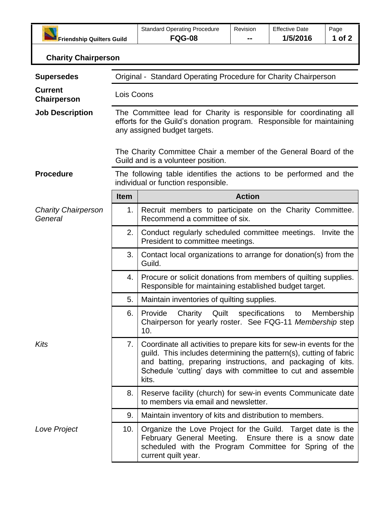| Friendship Quilters Guild             |                                                                                                                                                                                                                                                                                       | <b>Standard Operating Procedure</b><br><b>FQG-08</b>                                                                                                                                                                                                                            | Revision      | <b>Effective Date</b><br>1/5/2016 | Page<br>1 of 2 |  |  |
|---------------------------------------|---------------------------------------------------------------------------------------------------------------------------------------------------------------------------------------------------------------------------------------------------------------------------------------|---------------------------------------------------------------------------------------------------------------------------------------------------------------------------------------------------------------------------------------------------------------------------------|---------------|-----------------------------------|----------------|--|--|
| <b>Charity Chairperson</b>            |                                                                                                                                                                                                                                                                                       |                                                                                                                                                                                                                                                                                 |               |                                   |                |  |  |
| <b>Supersedes</b>                     | Original - Standard Operating Procedure for Charity Chairperson                                                                                                                                                                                                                       |                                                                                                                                                                                                                                                                                 |               |                                   |                |  |  |
| <b>Current</b><br><b>Chairperson</b>  | Lois Coons                                                                                                                                                                                                                                                                            |                                                                                                                                                                                                                                                                                 |               |                                   |                |  |  |
| <b>Job Description</b>                | The Committee lead for Charity is responsible for coordinating all<br>efforts for the Guild's donation program. Responsible for maintaining<br>any assigned budget targets.<br>The Charity Committee Chair a member of the General Board of the<br>Guild and is a volunteer position. |                                                                                                                                                                                                                                                                                 |               |                                   |                |  |  |
|                                       |                                                                                                                                                                                                                                                                                       |                                                                                                                                                                                                                                                                                 |               |                                   |                |  |  |
| <b>Procedure</b>                      | The following table identifies the actions to be performed and the<br>individual or function responsible.                                                                                                                                                                             |                                                                                                                                                                                                                                                                                 |               |                                   |                |  |  |
|                                       | <b>Item</b>                                                                                                                                                                                                                                                                           |                                                                                                                                                                                                                                                                                 | <b>Action</b> |                                   |                |  |  |
| <b>Charity Chairperson</b><br>General | 1.                                                                                                                                                                                                                                                                                    | Recruit members to participate on the Charity Committee.<br>Recommend a committee of six.                                                                                                                                                                                       |               |                                   |                |  |  |
|                                       | 2.                                                                                                                                                                                                                                                                                    | Conduct regularly scheduled committee meetings. Invite the<br>President to committee meetings.                                                                                                                                                                                  |               |                                   |                |  |  |
|                                       | 3.                                                                                                                                                                                                                                                                                    | Contact local organizations to arrange for donation(s) from the<br>Guild.                                                                                                                                                                                                       |               |                                   |                |  |  |
|                                       | 4.                                                                                                                                                                                                                                                                                    | Procure or solicit donations from members of quilting supplies.<br>Responsible for maintaining established budget target.                                                                                                                                                       |               |                                   |                |  |  |
|                                       | 5.                                                                                                                                                                                                                                                                                    | Maintain inventories of quilting supplies.                                                                                                                                                                                                                                      |               |                                   |                |  |  |
|                                       | 6.                                                                                                                                                                                                                                                                                    | Provide Charity Quilt specifications to Membership<br>Chairperson for yearly roster. See FQG-11 Membership step<br>10.                                                                                                                                                          |               |                                   |                |  |  |
| Kits                                  | 7.                                                                                                                                                                                                                                                                                    | Coordinate all activities to prepare kits for sew-in events for the<br>guild. This includes determining the pattern(s), cutting of fabric<br>and batting, preparing instructions, and packaging of kits.<br>Schedule 'cutting' days with committee to cut and assemble<br>kits. |               |                                   |                |  |  |
|                                       | 8.                                                                                                                                                                                                                                                                                    | Reserve facility (church) for sew-in events Communicate date<br>to members via email and newsletter.                                                                                                                                                                            |               |                                   |                |  |  |
|                                       | 9.                                                                                                                                                                                                                                                                                    | Maintain inventory of kits and distribution to members.                                                                                                                                                                                                                         |               |                                   |                |  |  |
| Love Project                          | 10.                                                                                                                                                                                                                                                                                   | Organize the Love Project for the Guild. Target date is the<br>February General Meeting. Ensure there is a snow date<br>scheduled with the Program Committee for Spring of the<br>current quilt year.                                                                           |               |                                   |                |  |  |